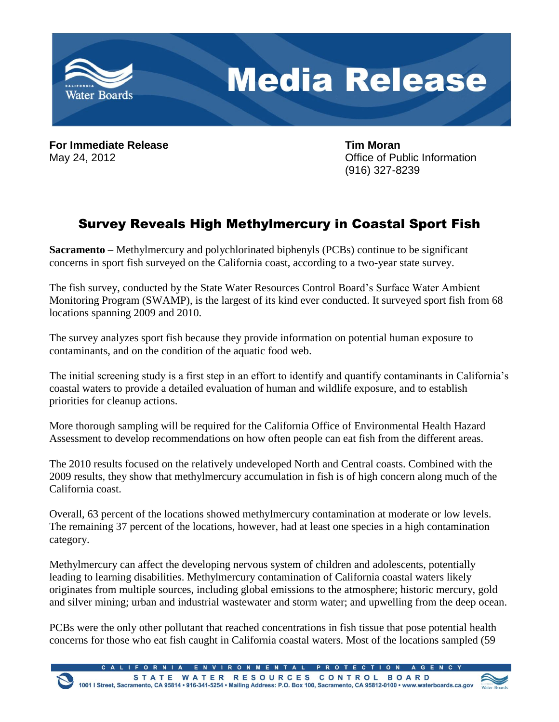

**For Immediate Release Tim Moran**

May 24, 2012 **May 24, 2012 May 24, 2012 May 24, 2012** (916) 327-8239

## Survey Reveals High Methylmercury in Coastal Sport Fish

**Sacramento** – Methylmercury and polychlorinated biphenyls (PCBs) continue to be significant concerns in sport fish surveyed on the California coast, according to a two-year state survey.

The fish survey, conducted by the State Water Resources Control Board's Surface Water Ambient Monitoring Program (SWAMP), is the largest of its kind ever conducted. It surveyed sport fish from 68 locations spanning 2009 and 2010.

The survey analyzes sport fish because they provide information on potential human exposure to contaminants, and on the condition of the aquatic food web.

The initial screening study is a first step in an effort to identify and quantify contaminants in California's coastal waters to provide a detailed evaluation of human and wildlife exposure, and to establish priorities for cleanup actions.

More thorough sampling will be required for the California Office of Environmental Health Hazard Assessment to develop recommendations on how often people can eat fish from the different areas.

The 2010 results focused on the relatively undeveloped North and Central coasts. Combined with the 2009 results, they show that methylmercury accumulation in fish is of high concern along much of the California coast.

Overall, 63 percent of the locations showed methylmercury contamination at moderate or low levels. The remaining 37 percent of the locations, however, had at least one species in a high contamination category.

Methylmercury can affect the developing nervous system of children and adolescents, potentially leading to learning disabilities. Methylmercury contamination of California coastal waters likely originates from multiple sources, including global emissions to the atmosphere; historic mercury, gold and silver mining; urban and industrial wastewater and storm water; and upwelling from the deep ocean.

PCBs were the only other pollutant that reached concentrations in fish tissue that pose potential health concerns for those who eat fish caught in California coastal waters. Most of the locations sampled (59